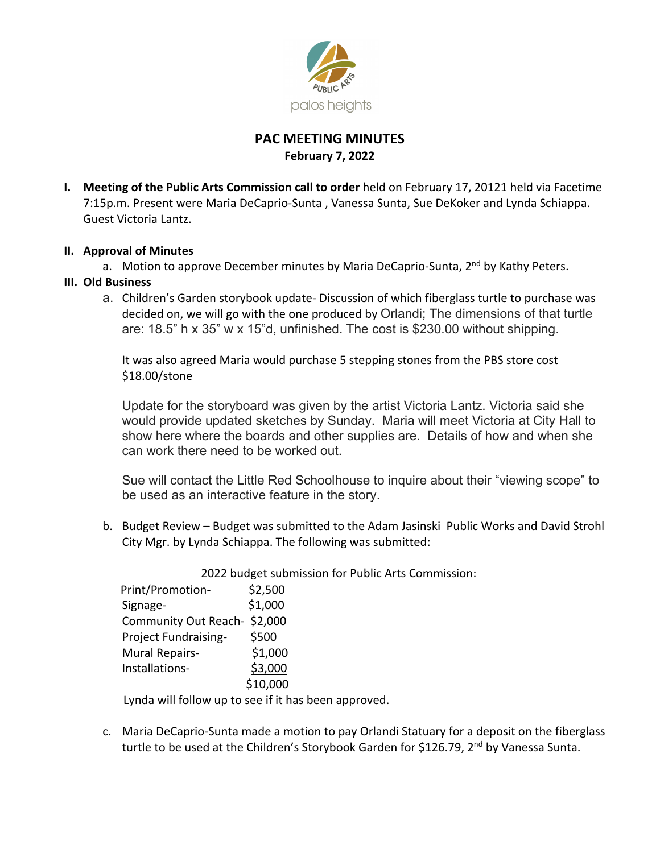

# **PAC MEETING MINUTES February 7, 2022**

**I. Meeting of the Public Arts Commission call to order** held on February 17, 20121 held via Facetime 7:15p.m. Present were Maria DeCaprio-Sunta , Vanessa Sunta, Sue DeKoker and Lynda Schiappa. Guest Victoria Lantz.

## **II. Approval of Minutes**

a. Motion to approve December minutes by Maria DeCaprio-Sunta, 2<sup>nd</sup> by Kathy Peters.

## **III. Old Business**

a. Children's Garden storybook update- Discussion of which fiberglass turtle to purchase was decided on, we will go with the one produced by Orlandi; The dimensions of that turtle are: 18.5" h x 35" w x 15"d, unfinished. The cost is \$230.00 without shipping.

It was also agreed Maria would purchase 5 stepping stones from the PBS store cost \$18.00/stone

Update for the storyboard was given by the artist Victoria Lantz. Victoria said she would provide updated sketches by Sunday. Maria will meet Victoria at City Hall to show here where the boards and other supplies are. Details of how and when she can work there need to be worked out.

Sue will contact the Little Red Schoolhouse to inquire about their "viewing scope" to be used as an interactive feature in the story.

b. Budget Review – Budget was submitted to the Adam Jasinski Public Works and David Strohl City Mgr. by Lynda Schiappa. The following was submitted:

2022 budget submission for Public Arts Commission:

| Print/Promotion-            | \$2,500  |
|-----------------------------|----------|
| Signage-                    | \$1,000  |
| Community Out Reach-\$2,000 |          |
| Project Fundraising-        | \$500    |
| Mural Repairs-              | \$1,000  |
| Installations-              | \$3,000  |
|                             | \$10,000 |

Lynda will follow up to see if it has been approved.

c. Maria DeCaprio-Sunta made a motion to pay Orlandi Statuary for a deposit on the fiberglass turtle to be used at the Children's Storybook Garden for \$126.79, 2<sup>nd</sup> by Vanessa Sunta.